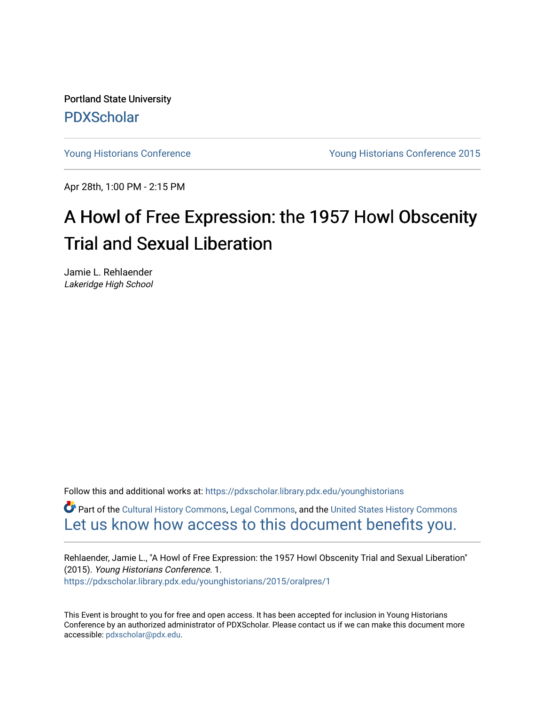Portland State University [PDXScholar](https://pdxscholar.library.pdx.edu/)

[Young Historians Conference](https://pdxscholar.library.pdx.edu/younghistorians) [Young Historians Conference 2015](https://pdxscholar.library.pdx.edu/younghistorians/2015) 

Apr 28th, 1:00 PM - 2:15 PM

## A Howl of Free Expression: the 1957 Howl Obscenity Trial and Sexual Liberation

Jamie L. Rehlaender Lakeridge High School

Follow this and additional works at: [https://pdxscholar.library.pdx.edu/younghistorians](https://pdxscholar.library.pdx.edu/younghistorians?utm_source=pdxscholar.library.pdx.edu%2Fyounghistorians%2F2015%2Foralpres%2F1&utm_medium=PDF&utm_campaign=PDFCoverPages)

Part of the [Cultural History Commons](http://network.bepress.com/hgg/discipline/496?utm_source=pdxscholar.library.pdx.edu%2Fyounghistorians%2F2015%2Foralpres%2F1&utm_medium=PDF&utm_campaign=PDFCoverPages), [Legal Commons,](http://network.bepress.com/hgg/discipline/502?utm_source=pdxscholar.library.pdx.edu%2Fyounghistorians%2F2015%2Foralpres%2F1&utm_medium=PDF&utm_campaign=PDFCoverPages) and the [United States History Commons](http://network.bepress.com/hgg/discipline/495?utm_source=pdxscholar.library.pdx.edu%2Fyounghistorians%2F2015%2Foralpres%2F1&utm_medium=PDF&utm_campaign=PDFCoverPages)  [Let us know how access to this document benefits you.](http://library.pdx.edu/services/pdxscholar-services/pdxscholar-feedback/) 

Rehlaender, Jamie L., "A Howl of Free Expression: the 1957 Howl Obscenity Trial and Sexual Liberation" (2015). Young Historians Conference. 1. [https://pdxscholar.library.pdx.edu/younghistorians/2015/oralpres/1](https://pdxscholar.library.pdx.edu/younghistorians/2015/oralpres/1?utm_source=pdxscholar.library.pdx.edu%2Fyounghistorians%2F2015%2Foralpres%2F1&utm_medium=PDF&utm_campaign=PDFCoverPages) 

This Event is brought to you for free and open access. It has been accepted for inclusion in Young Historians Conference by an authorized administrator of PDXScholar. Please contact us if we can make this document more accessible: [pdxscholar@pdx.edu.](mailto:pdxscholar@pdx.edu)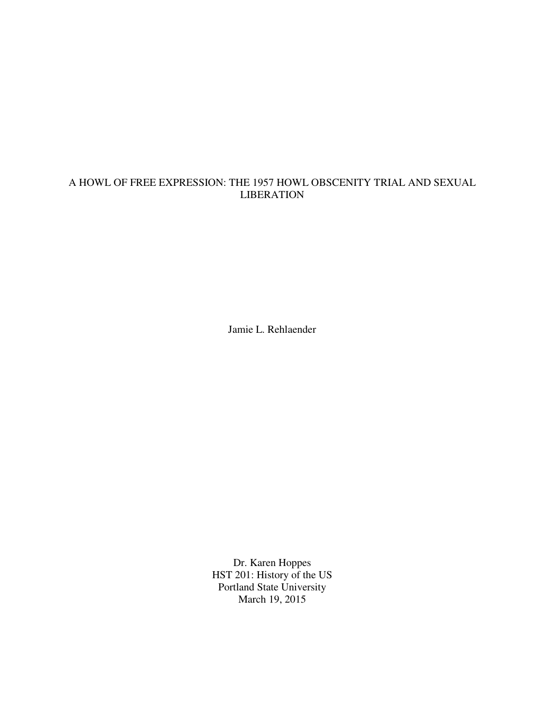## A HOWL OF FREE EXPRESSION: THE 1957 HOWL OBSCENITY TRIAL AND SEXUAL LIBERATION

Jamie L. Rehlaender

Dr. Karen Hoppes HST 201: History of the US Portland State University March 19, 2015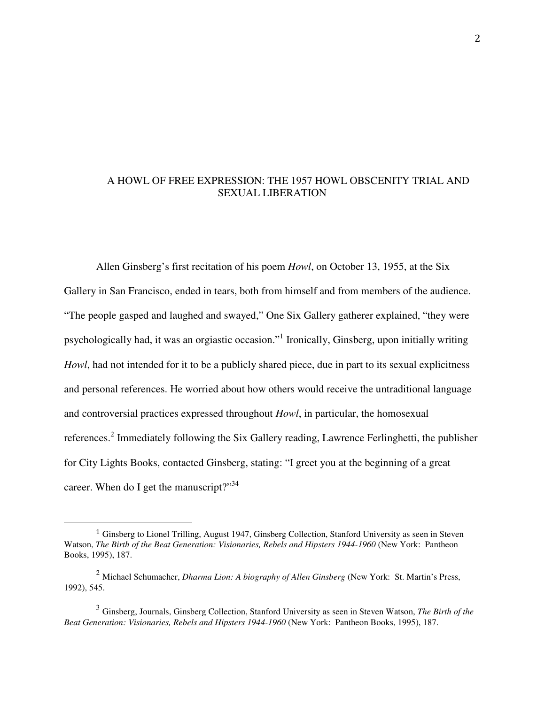## A HOWL OF FREE EXPRESSION: THE 1957 HOWL OBSCENITY TRIAL AND SEXUAL LIBERATION

Allen Ginsberg's first recitation of his poem *Howl*, on October 13, 1955, at the Six Gallery in San Francisco, ended in tears, both from himself and from members of the audience. "The people gasped and laughed and swayed," One Six Gallery gatherer explained, "they were psychologically had, it was an orgiastic occasion."<sup>1</sup> Ironically, Ginsberg, upon initially writing *Howl*, had not intended for it to be a publicly shared piece, due in part to its sexual explicitness and personal references. He worried about how others would receive the untraditional language and controversial practices expressed throughout *Howl*, in particular, the homosexual references.<sup>2</sup> Immediately following the Six Gallery reading, Lawrence Ferlinghetti, the publisher for City Lights Books, contacted Ginsberg, stating: "I greet you at the beginning of a great career. When do I get the manuscript?"<sup>34</sup>

<u>.</u>

<sup>1</sup> Ginsberg to Lionel Trilling, August 1947, Ginsberg Collection, Stanford University as seen in Steven Watson, *The Birth of the Beat Generation: Visionaries, Rebels and Hipsters 1944-1960* (New York: Pantheon Books, 1995), 187.

<sup>2</sup> Michael Schumacher, *Dharma Lion: A biography of Allen Ginsberg* (New York: St. Martin's Press, 1992), 545.

<sup>3</sup> Ginsberg, Journals, Ginsberg Collection, Stanford University as seen in Steven Watson, *The Birth of the Beat Generation: Visionaries, Rebels and Hipsters 1944-1960* (New York: Pantheon Books, 1995), 187.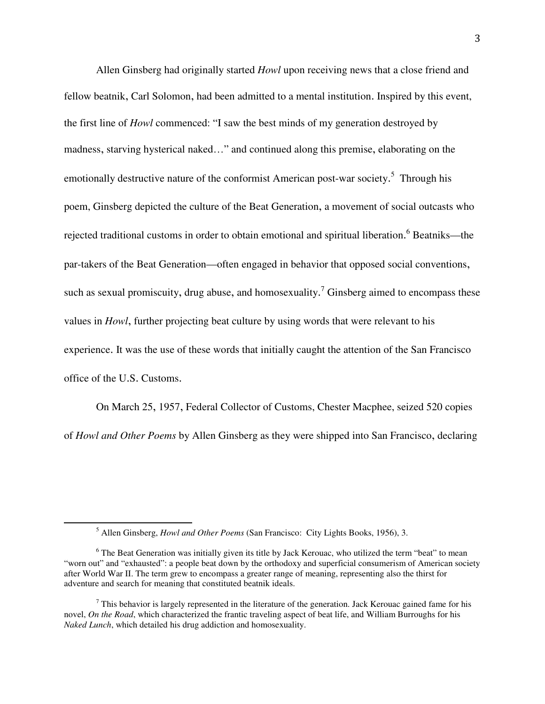Allen Ginsberg had originally started *Howl* upon receiving news that a close friend and fellow beatnik, Carl Solomon, had been admitted to a mental institution. Inspired by this event, the first line of *Howl* commenced: "I saw the best minds of my generation destroyed by madness, starving hysterical naked…" and continued along this premise, elaborating on the emotionally destructive nature of the conformist American post-war society.<sup>5</sup> Through his poem, Ginsberg depicted the culture of the Beat Generation, a movement of social outcasts who rejected traditional customs in order to obtain emotional and spiritual liberation. <sup>6</sup> Beatniks—the par-takers of the Beat Generation—often engaged in behavior that opposed social conventions, such as sexual promiscuity, drug abuse, and homosexuality.<sup>7</sup> Ginsberg aimed to encompass these values in *Howl*, further projecting beat culture by using words that were relevant to his experience. It was the use of these words that initially caught the attention of the San Francisco office of the U.S. Customs.

On March 25, 1957, Federal Collector of Customs, Chester Macphee, seized 520 copies of *Howl and Other Poems* by Allen Ginsberg as they were shipped into San Francisco, declaring

-

<sup>5</sup> Allen Ginsberg, *Howl and Other Poems* (San Francisco: City Lights Books, 1956), 3.

<sup>&</sup>lt;sup>6</sup> The Beat Generation was initially given its title by Jack Kerouac, who utilized the term "beat" to mean "worn out" and "exhausted": a people beat down by the orthodoxy and superficial consumerism of American society after World War II. The term grew to encompass a greater range of meaning, representing also the thirst for adventure and search for meaning that constituted beatnik ideals.

 $<sup>7</sup>$  This behavior is largely represented in the literature of the generation. Jack Kerouac gained fame for his</sup> novel, *On the Road*, which characterized the frantic traveling aspect of beat life, and William Burroughs for his *Naked Lunch*, which detailed his drug addiction and homosexuality.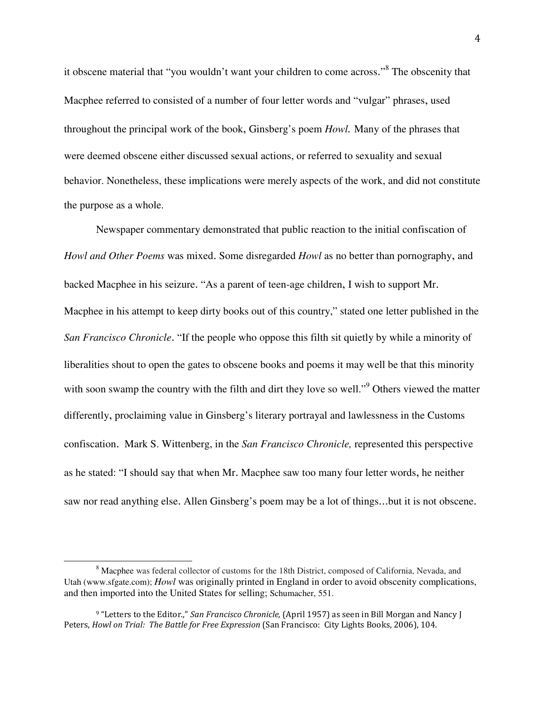it obscene material that "you wouldn't want your children to come across."<sup>8</sup> The obscenity that Macphee referred to consisted of a number of four letter words and "vulgar" phrases, used throughout the principal work of the book, Ginsberg's poem *Howl.* Many of the phrases that were deemed obscene either discussed sexual actions, or referred to sexuality and sexual behavior. Nonetheless, these implications were merely aspects of the work, and did not constitute the purpose as a whole.

Newspaper commentary demonstrated that public reaction to the initial confiscation of *Howl and Other Poems* was mixed. Some disregarded *Howl* as no better than pornography, and backed Macphee in his seizure. "As a parent of teen-age children, I wish to support Mr. Macphee in his attempt to keep dirty books out of this country," stated one letter published in the *San Francisco Chronicle*. "If the people who oppose this filth sit quietly by while a minority of liberalities shout to open the gates to obscene books and poems it may well be that this minority with soon swamp the country with the filth and dirt they love so well."<sup>9</sup> Others viewed the matter differently, proclaiming value in Ginsberg's literary portrayal and lawlessness in the Customs confiscation. Mark S. Wittenberg, in the *San Francisco Chronicle,* represented this perspective as he stated: "I should say that when Mr. Macphee saw too many four letter words, he neither saw nor read anything else. Allen Ginsberg's poem may be a lot of things...but it is not obscene.

<sup>&</sup>lt;sup>8</sup> Macphee was federal collector of customs for the 18th District, composed of California, Nevada, and Utah (www.sfgate.com); *Howl* was originally printed in England in order to avoid obscenity complications, and then imported into the United States for selling; Schumacher, 551.

<sup>9 &</sup>quot;Letters to the Editor.," San Francisco Chronicle, (April 1957) as seen in Bill Morgan and Nancy J Peters, Howl on Trial: The Battle for Free Expression (San Francisco: City Lights Books, 2006), 104.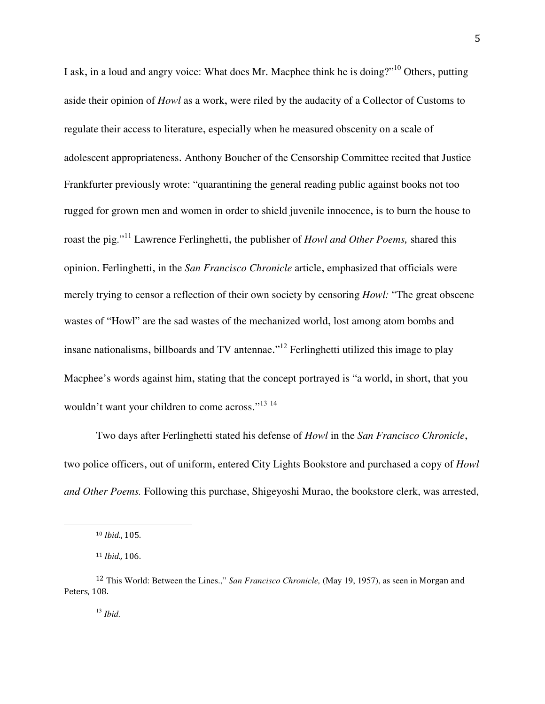I ask, in a loud and angry voice: What does Mr. Macphee think he is doing?"<sup>10</sup> Others, putting aside their opinion of *Howl* as a work, were riled by the audacity of a Collector of Customs to regulate their access to literature, especially when he measured obscenity on a scale of adolescent appropriateness. Anthony Boucher of the Censorship Committee recited that Justice Frankfurter previously wrote: "quarantining the general reading public against books not too rugged for grown men and women in order to shield juvenile innocence, is to burn the house to roast the pig."<sup>11</sup> Lawrence Ferlinghetti, the publisher of *Howl and Other Poems,* shared this opinion. Ferlinghetti, in the *San Francisco Chronicle* article, emphasized that officials were merely trying to censor a reflection of their own society by censoring *Howl:* "The great obscene wastes of "Howl" are the sad wastes of the mechanized world, lost among atom bombs and insane nationalisms, billboards and TV antennae."<sup>12</sup> Ferlinghetti utilized this image to play Macphee's words against him, stating that the concept portrayed is "a world, in short, that you wouldn't want your children to come across."<sup>13 14</sup>

Two days after Ferlinghetti stated his defense of *Howl* in the *San Francisco Chronicle*, two police officers, out of uniform, entered City Lights Bookstore and purchased a copy of *Howl and Other Poems.* Following this purchase, Shigeyoshi Murao, the bookstore clerk, was arrested,

<sup>10</sup> Ibid., 105.

<sup>11</sup> Ibid., 106.

<sup>12</sup> This World: Between the Lines.," *San Francisco Chronicle,* (May 19, 1957), as seen in Morgan and Peters, 108.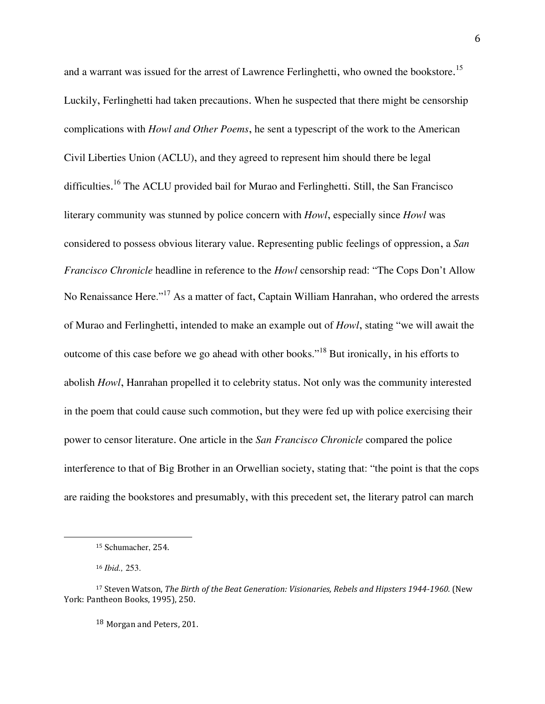and a warrant was issued for the arrest of Lawrence Ferlinghetti, who owned the bookstore.<sup>15</sup> Luckily, Ferlinghetti had taken precautions. When he suspected that there might be censorship complications with *Howl and Other Poems*, he sent a typescript of the work to the American Civil Liberties Union (ACLU), and they agreed to represent him should there be legal difficulties.<sup>16</sup> The ACLU provided bail for Murao and Ferlinghetti. Still, the San Francisco literary community was stunned by police concern with *Howl*, especially since *Howl* was considered to possess obvious literary value. Representing public feelings of oppression, a *San Francisco Chronicle* headline in reference to the *Howl* censorship read: "The Cops Don't Allow No Renaissance Here."<sup>17</sup> As a matter of fact, Captain William Hanrahan, who ordered the arrests of Murao and Ferlinghetti, intended to make an example out of *Howl*, stating "we will await the outcome of this case before we go ahead with other books."<sup>18</sup> But ironically, in his efforts to abolish *Howl*, Hanrahan propelled it to celebrity status. Not only was the community interested in the poem that could cause such commotion, but they were fed up with police exercising their power to censor literature. One article in the *San Francisco Chronicle* compared the police interference to that of Big Brother in an Orwellian society, stating that: "the point is that the cops are raiding the bookstores and presumably, with this precedent set, the literary patrol can march

<sup>16</sup> *Ibid.,* 253.

 $\overline{a}$ 

<sup>18</sup> Morgan and Peters, 201.

<sup>15</sup> Schumacher, 254.

<sup>&</sup>lt;sup>17</sup> Steven Watson, The Birth of the Beat Generation: Visionaries, Rebels and Hipsters 1944-1960. (New York: Pantheon Books, 1995), 250.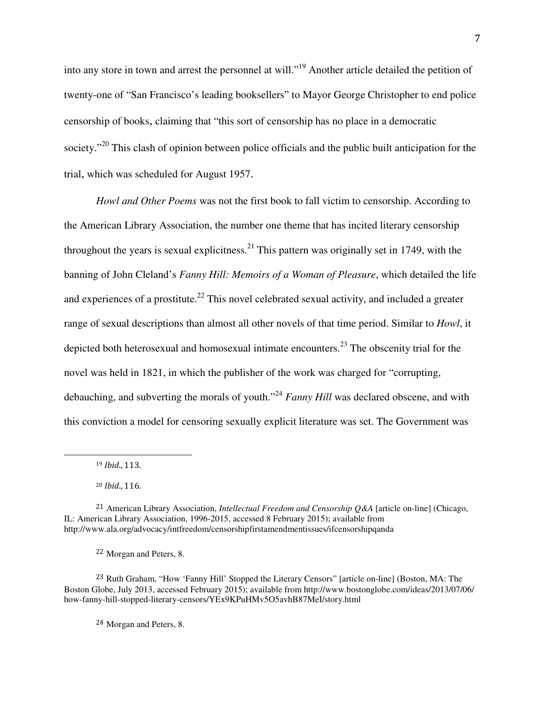into any store in town and arrest the personnel at will."<sup>19</sup> Another article detailed the petition of twenty-one of "San Francisco's leading booksellers" to Mayor George Christopher to end police censorship of books, claiming that "this sort of censorship has no place in a democratic society."<sup>20</sup> This clash of opinion between police officials and the public built anticipation for the trial, which was scheduled for August 1957.

*Howl and Other Poems* was not the first book to fall victim to censorship. According to the American Library Association, the number one theme that has incited literary censorship throughout the years is sexual explicitness.<sup>21</sup> This pattern was originally set in 1749, with the banning of John Cleland's *Fanny Hill: Memoirs of a Woman of Pleasure*, which detailed the life and experiences of a prostitute.<sup>22</sup> This novel celebrated sexual activity, and included a greater range of sexual descriptions than almost all other novels of that time period. Similar to *Howl*, it depicted both heterosexual and homosexual intimate encounters.<sup>23</sup> The obscenity trial for the novel was held in 1821, in which the publisher of the work was charged for "corrupting, debauching, and subverting the morals of youth."<sup>24</sup> *Fanny Hill* was declared obscene, and with this conviction a model for censoring sexually explicit literature was set. The Government was

 $\overline{a}$ 

<sup>22</sup> Morgan and Peters, 8.

<sup>23</sup> Ruth Graham, "How 'Fanny Hill' Stopped the Literary Censors" [article on-line] (Boston, MA: The Boston Globe, July 2013, accessed February 2015); available from http://www.bostonglobe.com/ideas/2013/07/06/ how-fanny-hill-stopped-literary-censors/YEx9KPuHMv5O5avhB87MeI/story.html

<sup>24</sup> Morgan and Peters, 8.

<sup>19</sup> Ibid., 113.

<sup>20</sup> Ibid., 116.

<sup>21</sup> American Library Association, *Intellectual Freedom and Censorship Q&A* [article on-line] (Chicago, IL: American Library Association, 1996-2015, accessed 8 February 2015); available from http://www.ala.org/advocacy/intfreedom/censorshipfirstamendmentissues/ifcensorshipqanda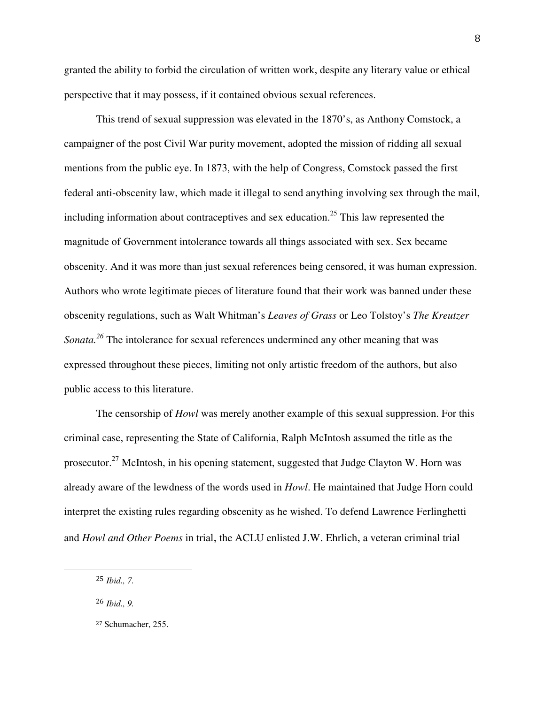granted the ability to forbid the circulation of written work, despite any literary value or ethical perspective that it may possess, if it contained obvious sexual references.

 This trend of sexual suppression was elevated in the 1870's, as Anthony Comstock, a campaigner of the post Civil War purity movement, adopted the mission of ridding all sexual mentions from the public eye. In 1873, with the help of Congress, Comstock passed the first federal anti-obscenity law, which made it illegal to send anything involving sex through the mail, including information about contraceptives and sex education.<sup>25</sup> This law represented the magnitude of Government intolerance towards all things associated with sex. Sex became obscenity. And it was more than just sexual references being censored, it was human expression. Authors who wrote legitimate pieces of literature found that their work was banned under these obscenity regulations, such as Walt Whitman's *Leaves of Grass* or Leo Tolstoy's *The Kreutzer Sonata.<sup>26</sup>* The intolerance for sexual references undermined any other meaning that was expressed throughout these pieces, limiting not only artistic freedom of the authors, but also public access to this literature.

The censorship of *Howl* was merely another example of this sexual suppression. For this criminal case, representing the State of California, Ralph McIntosh assumed the title as the prosecutor.<sup>27</sup> McIntosh, in his opening statement, suggested that Judge Clayton W. Horn was already aware of the lewdness of the words used in *Howl*. He maintained that Judge Horn could interpret the existing rules regarding obscenity as he wished. To defend Lawrence Ferlinghetti and *Howl and Other Poems* in trial, the ACLU enlisted J.W. Ehrlich, a veteran criminal trial

<sup>25</sup> *Ibid., 7.* 

<sup>26</sup> *Ibid., 9.* 

<sup>27</sup> Schumacher, 255.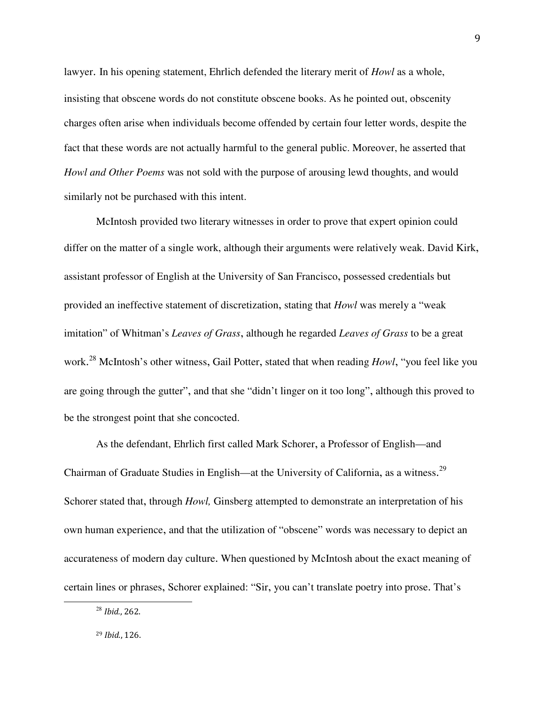lawyer. In his opening statement, Ehrlich defended the literary merit of *Howl* as a whole, insisting that obscene words do not constitute obscene books. As he pointed out, obscenity charges often arise when individuals become offended by certain four letter words, despite the fact that these words are not actually harmful to the general public. Moreover, he asserted that *Howl and Other Poems* was not sold with the purpose of arousing lewd thoughts, and would similarly not be purchased with this intent.

McIntosh provided two literary witnesses in order to prove that expert opinion could differ on the matter of a single work, although their arguments were relatively weak. David Kirk, assistant professor of English at the University of San Francisco, possessed credentials but provided an ineffective statement of discretization, stating that *Howl* was merely a "weak imitation" of Whitman's *Leaves of Grass*, although he regarded *Leaves of Grass* to be a great work. <sup>28</sup> McIntosh's other witness, Gail Potter, stated that when reading *Howl*, "you feel like you are going through the gutter", and that she "didn't linger on it too long", although this proved to be the strongest point that she concocted.

As the defendant, Ehrlich first called Mark Schorer, a Professor of English—and Chairman of Graduate Studies in English—at the University of California, as a witness.<sup>29</sup> Schorer stated that, through *Howl,* Ginsberg attempted to demonstrate an interpretation of his own human experience, and that the utilization of "obscene" words was necessary to depict an accurateness of modern day culture. When questioned by McIntosh about the exact meaning of certain lines or phrases, Schorer explained: "Sir, you can't translate poetry into prose. That's

<sup>28</sup> Ibid., 262.

 $\overline{a}$ 

<sup>29</sup> Ibid., 126.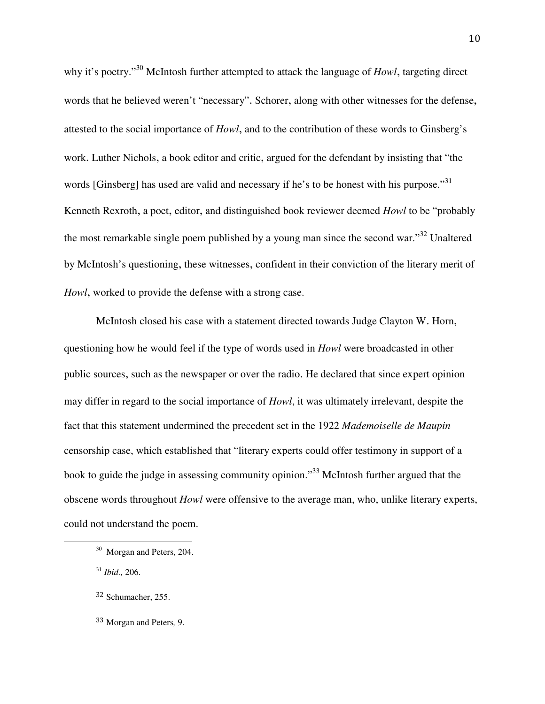why it's poetry."<sup>30</sup> McIntosh further attempted to attack the language of *Howl*, targeting direct words that he believed weren't "necessary". Schorer, along with other witnesses for the defense, attested to the social importance of *Howl*, and to the contribution of these words to Ginsberg's work. Luther Nichols, a book editor and critic, argued for the defendant by insisting that "the words [Ginsberg] has used are valid and necessary if he's to be honest with his purpose."<sup>31</sup> Kenneth Rexroth, a poet, editor, and distinguished book reviewer deemed *Howl* to be "probably the most remarkable single poem published by a young man since the second war."<sup>32</sup> Unaltered by McIntosh's questioning, these witnesses, confident in their conviction of the literary merit of *Howl*, worked to provide the defense with a strong case.

McIntosh closed his case with a statement directed towards Judge Clayton W. Horn, questioning how he would feel if the type of words used in *Howl* were broadcasted in other public sources, such as the newspaper or over the radio. He declared that since expert opinion may differ in regard to the social importance of *Howl*, it was ultimately irrelevant, despite the fact that this statement undermined the precedent set in the 1922 *Mademoiselle de Maupin* censorship case, which established that "literary experts could offer testimony in support of a book to guide the judge in assessing community opinion.<sup>33</sup> McIntosh further argued that the obscene words throughout *Howl* were offensive to the average man, who, unlike literary experts, could not understand the poem.

<sup>31</sup> *Ibid.,* 206.

 $\overline{a}$ 

<sup>33</sup> Morgan and Peters*,* 9.

<sup>&</sup>lt;sup>30</sup> Morgan and Peters, 204.

<sup>32</sup> Schumacher, 255.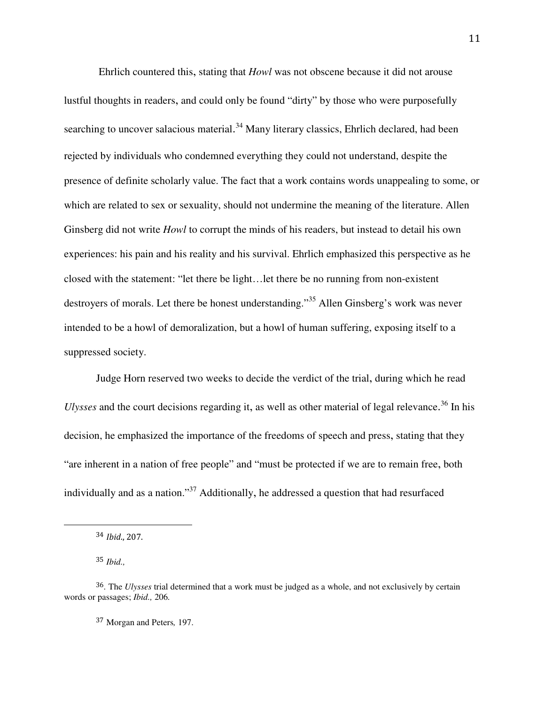Ehrlich countered this, stating that *Howl* was not obscene because it did not arouse lustful thoughts in readers, and could only be found "dirty" by those who were purposefully searching to uncover salacious material.<sup>34</sup> Many literary classics, Ehrlich declared, had been rejected by individuals who condemned everything they could not understand, despite the presence of definite scholarly value. The fact that a work contains words unappealing to some, or which are related to sex or sexuality, should not undermine the meaning of the literature. Allen Ginsberg did not write *Howl* to corrupt the minds of his readers, but instead to detail his own experiences: his pain and his reality and his survival. Ehrlich emphasized this perspective as he closed with the statement: "let there be light…let there be no running from non-existent destroyers of morals. Let there be honest understanding."<sup>35</sup> Allen Ginsberg's work was never intended to be a howl of demoralization, but a howl of human suffering, exposing itself to a suppressed society.

Judge Horn reserved two weeks to decide the verdict of the trial, during which he read Ulysses and the court decisions regarding it, as well as other material of legal relevance.<sup>36</sup> In his decision, he emphasized the importance of the freedoms of speech and press, stating that they "are inherent in a nation of free people" and "must be protected if we are to remain free, both individually and as a nation."<sup>37</sup> Additionally, he addressed a question that had resurfaced

 $\overline{a}$ 

<sup>37</sup> Morgan and Peters*,* 197.

<sup>34</sup> Ibid., 207.

<sup>35</sup> *Ibid.,* 

<sup>36</sup>*.* The *Ulysses* trial determined that a work must be judged as a whole, and not exclusively by certain words or passages; *Ibid.,* 206*.*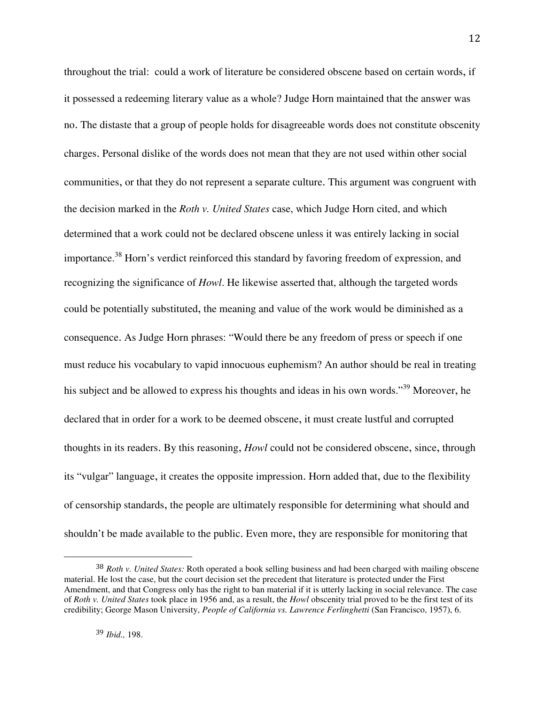throughout the trial: could a work of literature be considered obscene based on certain words, if it possessed a redeeming literary value as a whole? Judge Horn maintained that the answer was no. The distaste that a group of people holds for disagreeable words does not constitute obscenity charges. Personal dislike of the words does not mean that they are not used within other social communities, or that they do not represent a separate culture. This argument was congruent with the decision marked in the *Roth v. United States* case, which Judge Horn cited, and which determined that a work could not be declared obscene unless it was entirely lacking in social importance.<sup>38</sup> Horn's verdict reinforced this standard by favoring freedom of expression, and recognizing the significance of *Howl*. He likewise asserted that, although the targeted words could be potentially substituted, the meaning and value of the work would be diminished as a consequence. As Judge Horn phrases: "Would there be any freedom of press or speech if one must reduce his vocabulary to vapid innocuous euphemism? An author should be real in treating his subject and be allowed to express his thoughts and ideas in his own words."<sup>39</sup> Moreover, he declared that in order for a work to be deemed obscene, it must create lustful and corrupted thoughts in its readers. By this reasoning, *Howl* could not be considered obscene, since, through its "vulgar" language, it creates the opposite impression. Horn added that, due to the flexibility of censorship standards, the people are ultimately responsible for determining what should and shouldn't be made available to the public. Even more, they are responsible for monitoring that

<sup>38</sup> *Roth v. United States:* Roth operated a book selling business and had been charged with mailing obscene material. He lost the case, but the court decision set the precedent that literature is protected under the First Amendment, and that Congress only has the right to ban material if it is utterly lacking in social relevance. The case of *Roth v. United States* took place in 1956 and, as a result, the *Howl* obscenity trial proved to be the first test of its credibility; George Mason University, *People of California vs. Lawrence Ferlinghetti* (San Francisco, 1957), 6.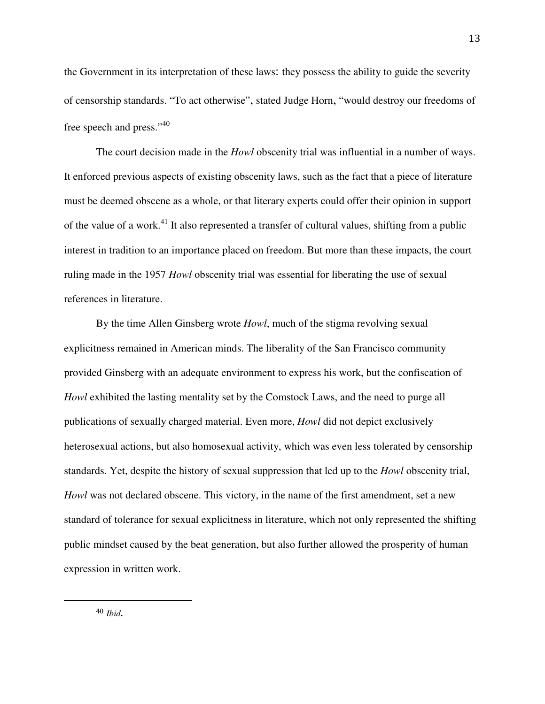the Government in its interpretation of these laws: they possess the ability to guide the severity of censorship standards. "To act otherwise", stated Judge Horn, "would destroy our freedoms of free speech and press."<sup>40</sup>

 The court decision made in the *Howl* obscenity trial was influential in a number of ways. It enforced previous aspects of existing obscenity laws, such as the fact that a piece of literature must be deemed obscene as a whole, or that literary experts could offer their opinion in support of the value of a work.<sup>41</sup> It also represented a transfer of cultural values, shifting from a public interest in tradition to an importance placed on freedom. But more than these impacts, the court ruling made in the 1957 *Howl* obscenity trial was essential for liberating the use of sexual references in literature.

 By the time Allen Ginsberg wrote *Howl*, much of the stigma revolving sexual explicitness remained in American minds. The liberality of the San Francisco community provided Ginsberg with an adequate environment to express his work, but the confiscation of *Howl* exhibited the lasting mentality set by the Comstock Laws, and the need to purge all publications of sexually charged material. Even more, *Howl* did not depict exclusively heterosexual actions, but also homosexual activity, which was even less tolerated by censorship standards. Yet, despite the history of sexual suppression that led up to the *Howl* obscenity trial, *Howl* was not declared obscene. This victory, in the name of the first amendment, set a new standard of tolerance for sexual explicitness in literature, which not only represented the shifting public mindset caused by the beat generation, but also further allowed the prosperity of human expression in written work.

-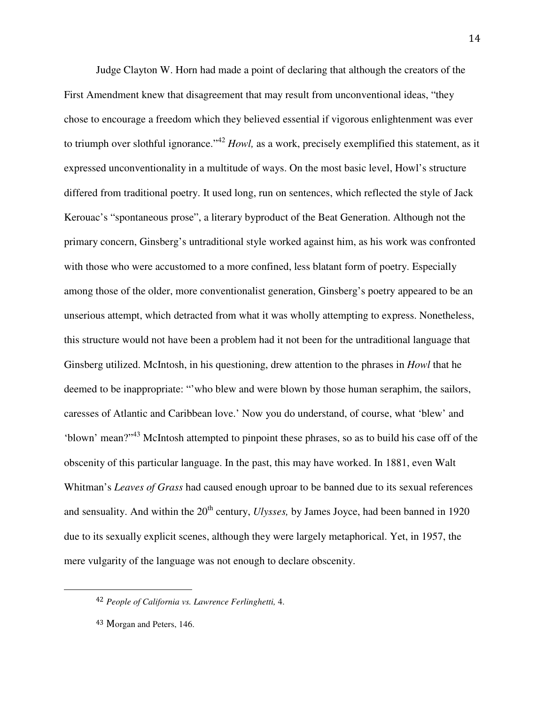Judge Clayton W. Horn had made a point of declaring that although the creators of the First Amendment knew that disagreement that may result from unconventional ideas, "they chose to encourage a freedom which they believed essential if vigorous enlightenment was ever to triumph over slothful ignorance."<sup>42</sup> *Howl,* as a work, precisely exemplified this statement, as it expressed unconventionality in a multitude of ways. On the most basic level, Howl's structure differed from traditional poetry. It used long, run on sentences, which reflected the style of Jack Kerouac's "spontaneous prose", a literary byproduct of the Beat Generation. Although not the primary concern, Ginsberg's untraditional style worked against him, as his work was confronted with those who were accustomed to a more confined, less blatant form of poetry. Especially among those of the older, more conventionalist generation, Ginsberg's poetry appeared to be an unserious attempt, which detracted from what it was wholly attempting to express. Nonetheless, this structure would not have been a problem had it not been for the untraditional language that Ginsberg utilized. McIntosh, in his questioning, drew attention to the phrases in *Howl* that he deemed to be inappropriate: "'who blew and were blown by those human seraphim, the sailors, caresses of Atlantic and Caribbean love.' Now you do understand, of course, what 'blew' and 'blown' mean?"<sup>43</sup> McIntosh attempted to pinpoint these phrases, so as to build his case off of the obscenity of this particular language. In the past, this may have worked. In 1881, even Walt Whitman's *Leaves of Grass* had caused enough uproar to be banned due to its sexual references and sensuality. And within the 20<sup>th</sup> century, *Ulysses*, by James Joyce, had been banned in 1920 due to its sexually explicit scenes, although they were largely metaphorical. Yet, in 1957, the mere vulgarity of the language was not enough to declare obscenity.

-

<sup>42</sup> *People of California vs. Lawrence Ferlinghetti,* 4.

<sup>43</sup> Morgan and Peters, 146.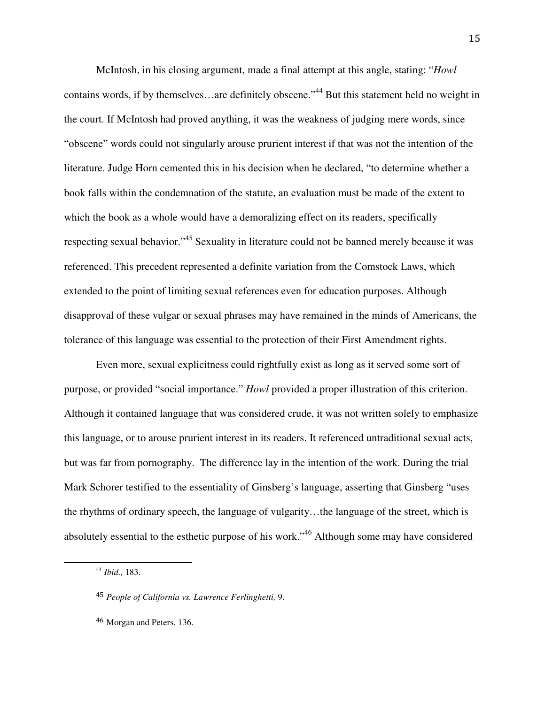McIntosh, in his closing argument, made a final attempt at this angle, stating: "*Howl*  contains words, if by themselves…are definitely obscene."<sup>44</sup> But this statement held no weight in the court. If McIntosh had proved anything, it was the weakness of judging mere words, since "obscene" words could not singularly arouse prurient interest if that was not the intention of the literature. Judge Horn cemented this in his decision when he declared, "to determine whether a book falls within the condemnation of the statute, an evaluation must be made of the extent to which the book as a whole would have a demoralizing effect on its readers, specifically respecting sexual behavior."<sup>45</sup> Sexuality in literature could not be banned merely because it was referenced. This precedent represented a definite variation from the Comstock Laws, which extended to the point of limiting sexual references even for education purposes. Although disapproval of these vulgar or sexual phrases may have remained in the minds of Americans, the tolerance of this language was essential to the protection of their First Amendment rights.

Even more, sexual explicitness could rightfully exist as long as it served some sort of purpose, or provided "social importance." *Howl* provided a proper illustration of this criterion. Although it contained language that was considered crude, it was not written solely to emphasize this language, or to arouse prurient interest in its readers. It referenced untraditional sexual acts, but was far from pornography. The difference lay in the intention of the work. During the trial Mark Schorer testified to the essentiality of Ginsberg's language, asserting that Ginsberg "uses the rhythms of ordinary speech, the language of vulgarity…the language of the street, which is absolutely essential to the esthetic purpose of his work."<sup>46</sup> Although some may have considered

<sup>44</sup> *Ibid.,* 183.

<sup>45</sup> *People of California vs. Lawrence Ferlinghetti,* 9.

<sup>46</sup> Morgan and Peters, 136.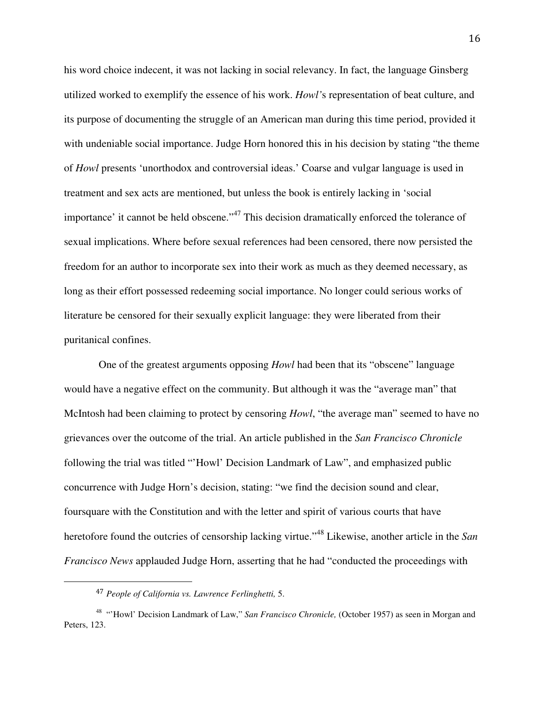his word choice indecent, it was not lacking in social relevancy. In fact, the language Ginsberg utilized worked to exemplify the essence of his work. *Howl'*s representation of beat culture, and its purpose of documenting the struggle of an American man during this time period, provided it with undeniable social importance. Judge Horn honored this in his decision by stating "the theme of *Howl* presents 'unorthodox and controversial ideas.' Coarse and vulgar language is used in treatment and sex acts are mentioned, but unless the book is entirely lacking in 'social importance' it cannot be held obscene."<sup>47</sup> This decision dramatically enforced the tolerance of sexual implications. Where before sexual references had been censored, there now persisted the freedom for an author to incorporate sex into their work as much as they deemed necessary, as long as their effort possessed redeeming social importance. No longer could serious works of literature be censored for their sexually explicit language: they were liberated from their puritanical confines.

 One of the greatest arguments opposing *Howl* had been that its "obscene" language would have a negative effect on the community. But although it was the "average man" that McIntosh had been claiming to protect by censoring *Howl*, "the average man" seemed to have no grievances over the outcome of the trial. An article published in the *San Francisco Chronicle*  following the trial was titled "'Howl' Decision Landmark of Law", and emphasized public concurrence with Judge Horn's decision, stating: "we find the decision sound and clear, foursquare with the Constitution and with the letter and spirit of various courts that have heretofore found the outcries of censorship lacking virtue."<sup>48</sup> Likewise, another article in the *San Francisco News* applauded Judge Horn, asserting that he had "conducted the proceedings with

<sup>47</sup> *People of California vs. Lawrence Ferlinghetti,* 5.

<sup>48</sup> "'Howl' Decision Landmark of Law," *San Francisco Chronicle,* (October 1957) as seen in Morgan and Peters, 123.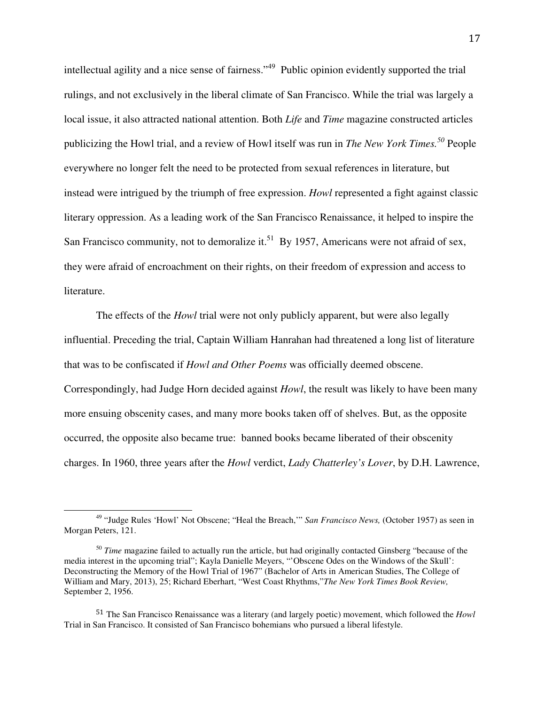intellectual agility and a nice sense of fairness."<sup>49</sup> Public opinion evidently supported the trial rulings, and not exclusively in the liberal climate of San Francisco. While the trial was largely a local issue, it also attracted national attention. Both *Life* and *Time* magazine constructed articles publicizing the Howl trial, and a review of Howl itself was run in *The New York Times.<sup>50</sup>* People everywhere no longer felt the need to be protected from sexual references in literature, but instead were intrigued by the triumph of free expression. *Howl* represented a fight against classic literary oppression. As a leading work of the San Francisco Renaissance, it helped to inspire the San Francisco community, not to demoralize it.<sup>51</sup> By 1957, Americans were not afraid of sex, they were afraid of encroachment on their rights, on their freedom of expression and access to literature.

The effects of the *Howl* trial were not only publicly apparent, but were also legally influential. Preceding the trial, Captain William Hanrahan had threatened a long list of literature that was to be confiscated if *Howl and Other Poems* was officially deemed obscene. Correspondingly, had Judge Horn decided against *Howl*, the result was likely to have been many more ensuing obscenity cases, and many more books taken off of shelves. But, as the opposite occurred, the opposite also became true: banned books became liberated of their obscenity charges. In 1960, three years after the *Howl* verdict, *Lady Chatterley's Lover*, by D.H. Lawrence,

<sup>49</sup> "Judge Rules 'Howl' Not Obscene; "Heal the Breach,'" *San Francisco News,* (October 1957) as seen in Morgan Peters, 121.

<sup>&</sup>lt;sup>50</sup> *Time* magazine failed to actually run the article, but had originally contacted Ginsberg "because of the media interest in the upcoming trial"; Kayla Danielle Meyers, "'Obscene Odes on the Windows of the Skull': Deconstructing the Memory of the Howl Trial of 1967" (Bachelor of Arts in American Studies, The College of William and Mary, 2013), 25; Richard Eberhart, "West Coast Rhythms,"*The New York Times Book Review,*  September 2, 1956.

<sup>51</sup> The San Francisco Renaissance was a literary (and largely poetic) movement, which followed the *Howl* Trial in San Francisco. It consisted of San Francisco bohemians who pursued a liberal lifestyle.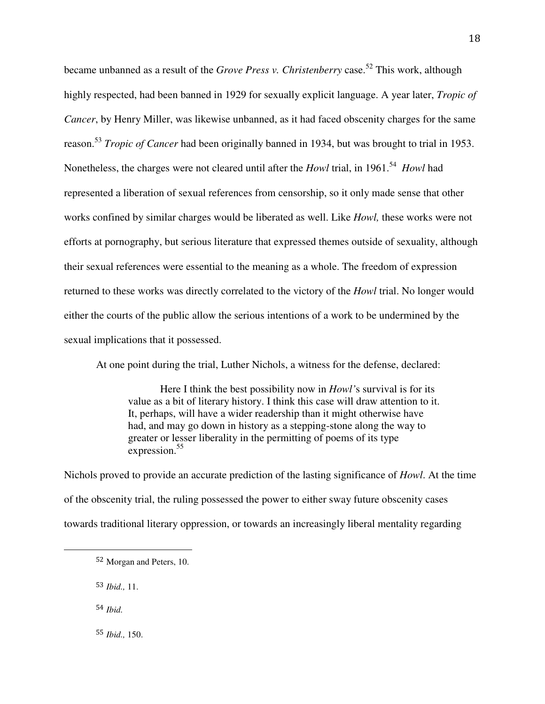became unbanned as a result of the *Grove Press v. Christenberry* case.<sup>52</sup> This work, although highly respected, had been banned in 1929 for sexually explicit language. A year later, *Tropic of Cancer*, by Henry Miller, was likewise unbanned, as it had faced obscenity charges for the same reason. <sup>53</sup> *Tropic of Cancer* had been originally banned in 1934, but was brought to trial in 1953. Nonetheless, the charges were not cleared until after the *Howl* trial, in 1961.<sup>54</sup> *Howl* had represented a liberation of sexual references from censorship, so it only made sense that other works confined by similar charges would be liberated as well. Like *Howl,* these works were not efforts at pornography, but serious literature that expressed themes outside of sexuality, although their sexual references were essential to the meaning as a whole. The freedom of expression returned to these works was directly correlated to the victory of the *Howl* trial. No longer would either the courts of the public allow the serious intentions of a work to be undermined by the sexual implications that it possessed.

At one point during the trial, Luther Nichols, a witness for the defense, declared:

Here I think the best possibility now in *Howl'*s survival is for its value as a bit of literary history. I think this case will draw attention to it. It, perhaps, will have a wider readership than it might otherwise have had, and may go down in history as a stepping-stone along the way to greater or lesser liberality in the permitting of poems of its type expression.<sup>55</sup>

Nichols proved to provide an accurate prediction of the lasting significance of *Howl*. At the time of the obscenity trial, the ruling possessed the power to either sway future obscenity cases towards traditional literary oppression, or towards an increasingly liberal mentality regarding

<sup>53</sup> *Ibid.,* 11.

54 *Ibid.* 

<u>.</u>

<sup>55</sup> *Ibid.,* 150.

<sup>52</sup> Morgan and Peters, 10.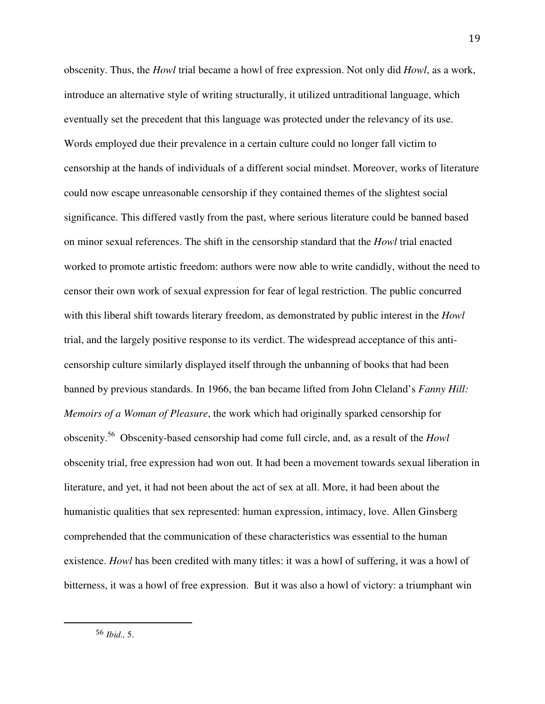obscenity. Thus, the *Howl* trial became a howl of free expression. Not only did *Howl*, as a work, introduce an alternative style of writing structurally, it utilized untraditional language, which eventually set the precedent that this language was protected under the relevancy of its use. Words employed due their prevalence in a certain culture could no longer fall victim to censorship at the hands of individuals of a different social mindset. Moreover, works of literature could now escape unreasonable censorship if they contained themes of the slightest social significance. This differed vastly from the past, where serious literature could be banned based on minor sexual references. The shift in the censorship standard that the *Howl* trial enacted worked to promote artistic freedom: authors were now able to write candidly, without the need to censor their own work of sexual expression for fear of legal restriction. The public concurred with this liberal shift towards literary freedom, as demonstrated by public interest in the *Howl*  trial, and the largely positive response to its verdict. The widespread acceptance of this anticensorship culture similarly displayed itself through the unbanning of books that had been banned by previous standards. In 1966, the ban became lifted from John Cleland's *Fanny Hill: Memoirs of a Woman of Pleasure*, the work which had originally sparked censorship for obscenity.<sup>56</sup> Obscenity-based censorship had come full circle, and, as a result of the *Howl* obscenity trial, free expression had won out. It had been a movement towards sexual liberation in literature, and yet, it had not been about the act of sex at all. More, it had been about the humanistic qualities that sex represented: human expression, intimacy, love. Allen Ginsberg comprehended that the communication of these characteristics was essential to the human existence. *Howl* has been credited with many titles: it was a howl of suffering, it was a howl of bitterness, it was a howl of free expression. But it was also a howl of victory: a triumphant win

<sup>56</sup> *Ibid.,* 5.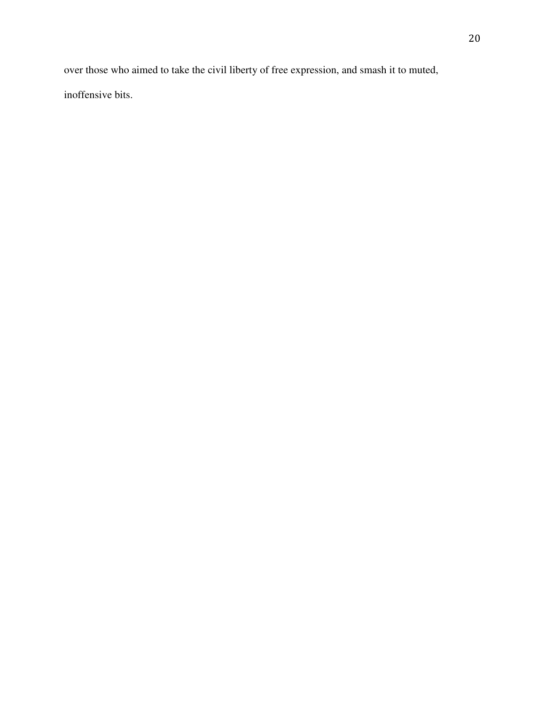over those who aimed to take the civil liberty of free expression, and smash it to muted, inoffensive bits.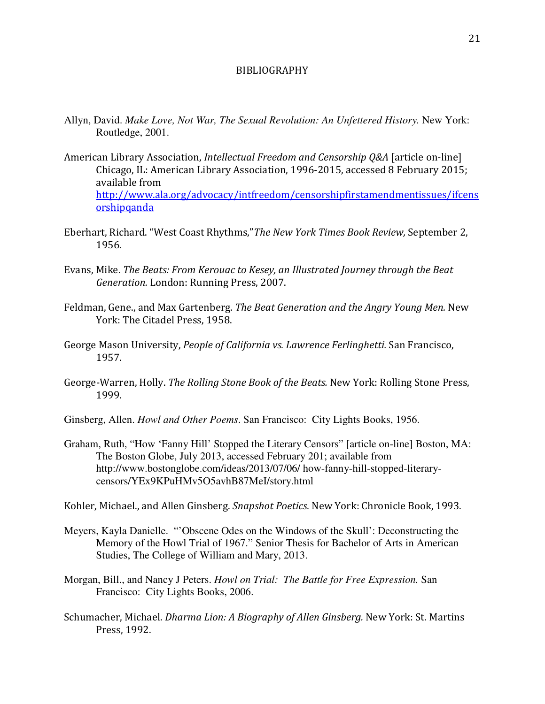## BIBLIOGRAPHY

- Allyn, David. *Make Love, Not War, The Sexual Revolution: An Unfettered History.* New York: Routledge, 2001.
- American Library Association, Intellectual Freedom and Censorship Q&A [article on-line] Chicago, IL: American Library Association, 1996-2015, accessed 8 February 2015; available from http://www.ala.org/advocacy/intfreedom/censorshipfirstamendmentissues/ifcens **orshipqanda**
- Eberhart, Richard. "West Coast Rhythms,"The New York Times Book Review, September 2, 1956.
- Evans, Mike. The Beats: From Kerouac to Kesey, an Illustrated Journey through the Beat Generation. London: Running Press, 2007.
- Feldman, Gene., and Max Gartenberg. The Beat Generation and the Angry Young Men. New York: The Citadel Press, 1958.
- George Mason University, People of California vs. Lawrence Ferlinghetti. San Francisco, 1957.
- George-Warren, Holly. The Rolling Stone Book of the Beats. New York: Rolling Stone Press, 1999.
- Ginsberg, Allen. *Howl and Other Poems*. San Francisco: City Lights Books, 1956.
- Graham, Ruth, "How 'Fanny Hill' Stopped the Literary Censors" [article on-line] Boston, MA: The Boston Globe, July 2013, accessed February 201; available from http://www.bostonglobe.com/ideas/2013/07/06/ how-fanny-hill-stopped-literarycensors/YEx9KPuHMv5O5avhB87MeI/story.html

Kohler, Michael., and Allen Ginsberg. Snapshot Poetics. New York: Chronicle Book, 1993.

- Meyers, Kayla Danielle. "'Obscene Odes on the Windows of the Skull': Deconstructing the Memory of the Howl Trial of 1967." Senior Thesis for Bachelor of Arts in American Studies, The College of William and Mary, 2013.
- Morgan, Bill., and Nancy J Peters. *Howl on Trial: The Battle for Free Expression.* San Francisco: City Lights Books, 2006.
- Schumacher, Michael. Dharma Lion: A Biography of Allen Ginsberg. New York: St. Martins Press, 1992.